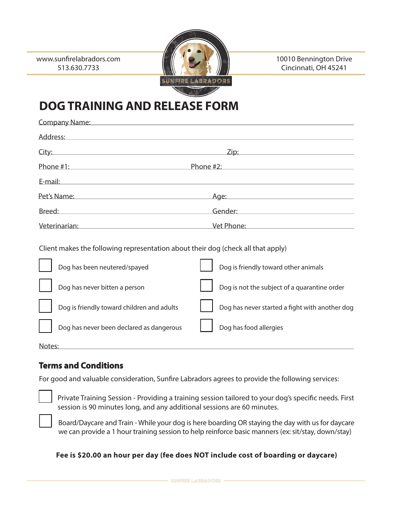

10010 Bennington Drive Cincinnati, OH 45241

# **DOG TRAINING AND RELEASE FORM**

| Company Name: Name: Name of the Company Name: Name of the Company Name of the Company Name of the Company Name of the Company of the Company of the Company of the Company of the Company of the Company of the Company of the |                                                                                                                                                                                                                                      |
|--------------------------------------------------------------------------------------------------------------------------------------------------------------------------------------------------------------------------------|--------------------------------------------------------------------------------------------------------------------------------------------------------------------------------------------------------------------------------------|
| Address: Address:                                                                                                                                                                                                              |                                                                                                                                                                                                                                      |
| City: experience of the contract of the contract of the contract of the contract of the contract of the contract of the contract of the contract of the contract of the contract of the contract of the contract of the contra |                                                                                                                                                                                                                                      |
| Phone #1:                                                                                                                                                                                                                      | Phone #2:                                                                                                                                                                                                                            |
| E-mail: will be a series of the contract of the contract of the contract of the contract of the contract of the contract of the contract of the contract of the contract of the contract of the contract of the contract of th |                                                                                                                                                                                                                                      |
|                                                                                                                                                                                                                                |                                                                                                                                                                                                                                      |
| Breed: 2008 2008 2010 2010 2010 2010 2011 2012 2013 2014 2015 2016 2017 2018 2019 2019 2019 2019 2010 2011 201                                                                                                                 | Gender: William Communication of the Communication of the Communication of the Communication of the Communication of the Communication of the Communication of the Communication of the Communication of the Communication of        |
| Veterinarian: Weterinarian:                                                                                                                                                                                                    | <u>Vet Phone: with a stationary stationary stationary stationary stationary stationary stationary stationary stationary stationary stationary stationary stationary stationary stationary stationary stationary stationary stati</u> |
| Client makes the following representation about their dog (check all that apply)<br>Dog is friendly toward other animals<br>Dog has been neutered/spayed                                                                       |                                                                                                                                                                                                                                      |
|                                                                                                                                                                                                                                |                                                                                                                                                                                                                                      |

| Dog has never bitten a person              | Dog is not the subject of a quarantine order   |
|--------------------------------------------|------------------------------------------------|
| Dog is friendly toward children and adults | Dog has never started a fight with another dog |
| Dog has never been declared as dangerous   | Dog has food allergies                         |
| Notes:                                     |                                                |

## **Terms and Conditions**

For good and valuable consideration, Sunfre Labradors agrees to provide the following services:

Private Training Session - Providing a training session tailored to your dog's specifc needs. First session is 90 minutes long, and any additional sessions are 60 minutes.

Board/Daycare and Train - While your dog is here boarding OR staying the day with us for daycare we can provide a 1 hour training session to help reinforce basic manners (ex: sit/stay, down/stay)

**Fee is \$20.00 an hour per day (fee does NOT include cost of boarding or daycare)**